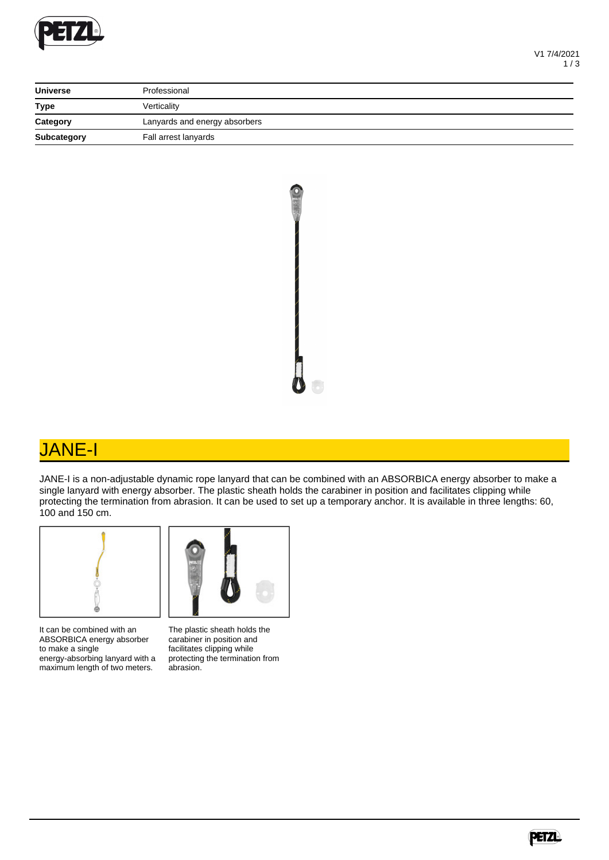

| <b>Universe</b> | Professional                  |
|-----------------|-------------------------------|
| <b>Type</b>     | Verticality                   |
| Category        | Lanyards and energy absorbers |
| Subcategory     | Fall arrest lanyards          |



## JANE-I

JANE-I is a non-adjustable dynamic rope lanyard that can be combined with an ABSORBICA energy absorber to make a single lanyard with energy absorber. The plastic sheath holds the carabiner in position and facilitates clipping while protecting the termination from abrasion. It can be used to set up a temporary anchor. It is available in three lengths: 60, 100 and 150 cm.



It can be combined with an ABSORBICA energy absorber to make a single energy-absorbing lanyard with a maximum length of two meters.



The plastic sheath holds the carabiner in position and facilitates clipping while protecting the termination from abrasion.

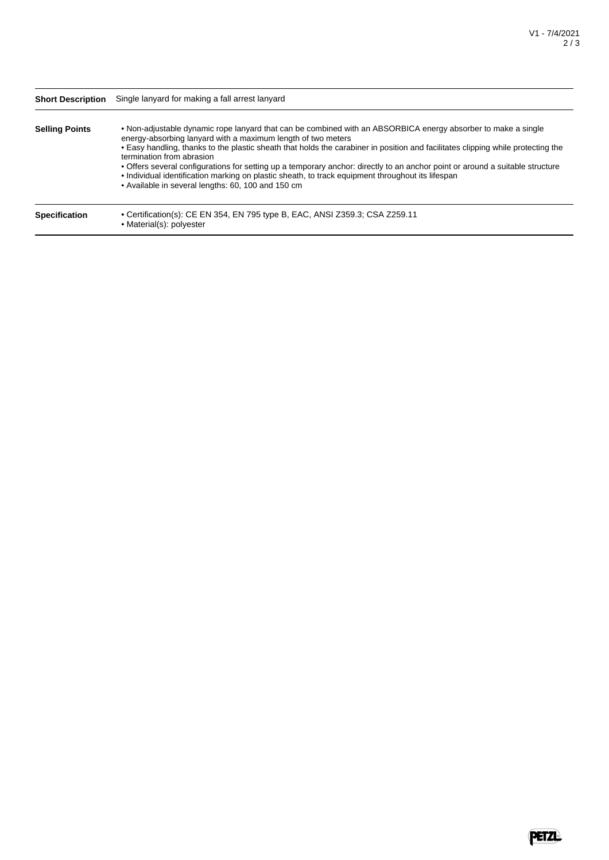| <b>Short Description</b> | Single lanyard for making a fall arrest lanyard                                                                                                                                                                                                                                                                                                                                                                                                                                                                                                                                                                                            |  |  |  |
|--------------------------|--------------------------------------------------------------------------------------------------------------------------------------------------------------------------------------------------------------------------------------------------------------------------------------------------------------------------------------------------------------------------------------------------------------------------------------------------------------------------------------------------------------------------------------------------------------------------------------------------------------------------------------------|--|--|--|
| <b>Selling Points</b>    | • Non-adjustable dynamic rope lanyard that can be combined with an ABSORBICA energy absorber to make a single<br>energy-absorbing lanyard with a maximum length of two meters<br>• Easy handling, thanks to the plastic sheath that holds the carabiner in position and facilitates clipping while protecting the<br>termination from abrasion<br>• Offers several configurations for setting up a temporary anchor: directly to an anchor point or around a suitable structure<br>• Individual identification marking on plastic sheath, to track equipment throughout its lifespan<br>• Available in several lengths: 60, 100 and 150 cm |  |  |  |
| <b>Specification</b>     | • Certification(s): CE EN 354, EN 795 type B, EAC, ANSI Z359.3; CSA Z259.11<br>• Material(s): polyester                                                                                                                                                                                                                                                                                                                                                                                                                                                                                                                                    |  |  |  |